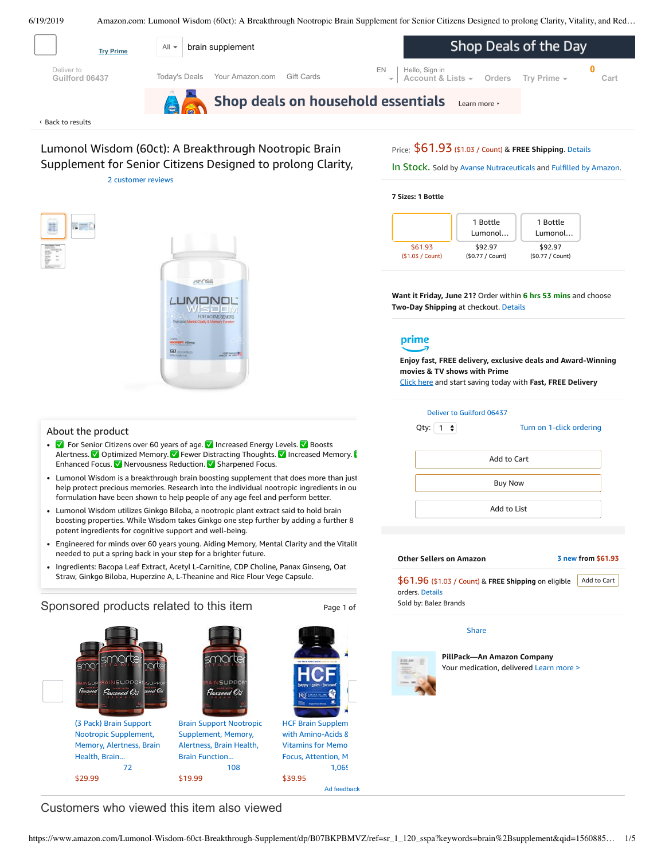6/19/2019 Amazon.com: Lumonol Wisdom (60ct): A Breakthrough Nootropic Brain Supplement for Senior Citizens Designed to prolong Clarity, Vitality, and Red…

<span id="page-0-0"></span>

Lumonol Wisdom (60ct): A Breakthrough Nootropic Brain Supplement for Senior Citizens Designed to prolong Clarity,

2 [customer](#page-2-0) reviews



In Stock. Sold by Avanse [Nutraceuticals](https://www.amazon.com/gp/help/seller/at-a-glance.html/ref=dp_merchant_link?ie=UTF8&seller=A33BYZZQYIL9NQ&isAmazonFulfilled=1) and Fulfilled by [Amazon.](https://www.amazon.com/gp/help/customer/display.html?ie=UTF8&ref=dp_fulfillment&nodeId=106096011)

#### **7 Sizes: 1 Bottle**



**Want it Friday, June 21?** Order within **6 hrs 53 mins** and choose **Two-Day Shipping** at checkout. [Details](https://www.amazon.com/gp/help/customer/display.html/ref=ftinfo_dp_?ie=UTF8&nodeId=3510241&pop-up=1)



**Enjoy fast, FREE delivery, exclusive deals and Award-Winning movies & TV shows with Prime**

Click here and start saving today with **Fast, FREE Delivery**

| About the product |  |  |
|-------------------|--|--|
|-------------------|--|--|

g mi

✅ For Senior Citizens over 60 years of age. ✅ Increased Energy Levels. ✅ Boosts Alertness. ✅ Optimized Memory. ✅ Fewer Distracting Thoughts. ✅ Increased Memory. ✅ Enhanced Focus. ✅ Nervousness Reduction. ✅ Sharpened Focus.

**IMONE** 

- Lumonol Wisdom is a breakthrough brain boosting supplement that does more than just help protect precious memories. Research into the individual nootropic ingredients in our formulation have been shown to help people of any age feel and perform better.
- Lumonol Wisdom utilizes Ginkgo Biloba, a nootropic plant extract said to hold brain boosting properties. While Wisdom takes Ginkgo one step further by adding a further 8 potent ingredients for cognitive support and well-being.
- [Engineered](https://www.amazon.com/gp/redirect.html/ref=amb_link_1?_encoding=UTF8&location=https%3A%2F%2Fwww.amazon.com%2Fb%3Fnode%3D17904040011&source=standards&token=BE1FBDC111DBAC62750B07A4AFAFEF6D1A082253&pf_rd_m=ATVPDKIKX0DER&pf_rd_s=product-alert&pf_rd_r=5H85V9F5GTKNR5THJDMG&pf_rd_r=5H85V9F5GTKNR5THJDMG&pf_rd_t=201&pf_rd_p=daeb3cfd-e4e6-41c2-9f54-b460e6d1a06e&pf_rd_p=daeb3cfd-e4e6-41c2-9f54-b460e6d1a06e&pf_rd_i=B07BKPBMVZ) for minds over 60 years young. Aiding Memory, Mental Clarity and the Vitalit needed to put a spring back in your step for a brighter future.
- Ingredients: Bacopa Leaf Extract, Acetyl L-Carnitine, CDP Choline, Panax Ginseng, Oat Straw, Ginkgo Biloba, Huperzine A, L-Theanine and Rice Flour Vege Capsule.

#### Sponsored products related to this item Page 1 of ∩∩ SUP 厽  $\varnothing$ Ω. (3 Pack) Brain Support HCF Brain Supplem Brain Support Nootropic with [Amino-Acids](https://www.amazon.com/gp/slredirect/picassoRedirect.html/ref=sspa_dk_detail_2?ie=UTF8&adId=A08799382X0PZBJS3BX0Y&qualifier=1560961112&id=8731488101823316&widgetName=sp_detail&url=%2Fdp%2FB00AAIY5US%2Fref%3Dsspa_dk_detail_2%3Fpsc%3D1%26pd_rd_i%3DB00AAIY5US%26pd_rd_w%3DZv17w%26pf_rd_p%3D8a8f3917-7900-4ce8-ad90-adf0d53c0985%26pd_rd_wg%3Dyudo9%26pf_rd_r%3D5H85V9F5GTKNR5THJDMG%26pd_rd_r%3De1a7f8fd-92ad-11e9-8e0c-eb9be67047bd) & Nootropic [Supplement,](https://www.amazon.com/gp/slredirect/picassoRedirect.html/ref=sspa_dk_detail_0?ie=UTF8&adId=A03790228LIWPS5DQRYX&qualifier=1560961112&id=8731488101823316&widgetName=sp_detail&url=%2Fdp%2FB07GL5Q9LG%2Fref%3Dsspa_dk_detail_0%3Fpsc%3D1%26pd_rd_i%3DB07GL5Q9LG%26pd_rd_w%3DZv17w%26pf_rd_p%3D8a8f3917-7900-4ce8-ad90-adf0d53c0985%26pd_rd_wg%3Dyudo9%26pf_rd_r%3D5H85V9F5GTKNR5THJDMG%26pd_rd_r%3De1a7f8fd-92ad-11e9-8e0c-eb9be67047bd) [Supplement,](https://www.amazon.com/gp/slredirect/picassoRedirect.html/ref=sspa_dk_detail_1?ie=UTF8&adId=A02921472XODVKDUBB7R0&qualifier=1560961112&id=8731488101823316&widgetName=sp_detail&url=%2Fdp%2FB07MFQYY4H%2Fref%3Dsspa_dk_detail_1%3Fpsc%3D1%26pd_rd_i%3DB07MFQYY4H%26pd_rd_w%3DZv17w%26pf_rd_p%3D8a8f3917-7900-4ce8-ad90-adf0d53c0985%26pd_rd_wg%3Dyudo9%26pf_rd_r%3D5H85V9F5GTKNR5THJDMG%26pd_rd_r%3De1a7f8fd-92ad-11e9-8e0c-eb9be67047bd) Memory, Memory, Alertness, Brain Alertness, Brain Health, Vitamins for Memo Health, Brain... Brain Function... Focus, Attention, M [72](https://www.amazon.com/gp/slredirect/picassoRedirect.html/ref=sspa_dk_detail_0?ie=UTF8&adId=A03790228LIWPS5DQRYX&qualifier=1560961112&id=8731488101823316&widgetName=sp_detail&url=%2Fdp%2FB07GL5Q9LG%2Fref%3Dsspa_dk_detail_0%3Fpsc%3D1%26pd_rd_i%3DB07GL5Q9LG%26pd_rd_w%3DZv17w%26pf_rd_p%3D8a8f3917-7900-4ce8-ad90-adf0d53c0985%26pd_rd_wg%3Dyudo9%26pf_rd_r%3D5H85V9F5GTKNR5THJDMG%26pd_rd_r%3De1a7f8fd-92ad-11e9-8e0c-eb9be67047bd#customerReviews) [108](https://www.amazon.com/gp/slredirect/picassoRedirect.html/ref=sspa_dk_detail_1?ie=UTF8&adId=A02921472XODVKDUBB7R0&qualifier=1560961112&id=8731488101823316&widgetName=sp_detail&url=%2Fdp%2FB07MFQYY4H%2Fref%3Dsspa_dk_detail_1%3Fpsc%3D1%26pd_rd_i%3DB07MFQYY4H%26pd_rd_w%3DZv17w%26pf_rd_p%3D8a8f3917-7900-4ce8-ad90-adf0d53c0985%26pd_rd_wg%3Dyudo9%26pf_rd_r%3D5H85V9F5GTKNR5THJDMG%26pd_rd_r%3De1a7f8fd-92ad-11e9-8e0c-eb9be67047bd#customerReviews) [1,069](https://www.amazon.com/gp/slredirect/picassoRedirect.html/ref=sspa_dk_detail_2?ie=UTF8&adId=A08799382X0PZBJS3BX0Y&qualifier=1560961112&id=8731488101823316&widgetName=sp_detail&url=%2Fdp%2FB00AAIY5US%2Fref%3Dsspa_dk_detail_2%3Fpsc%3D1%26pd_rd_i%3DB00AAIY5US%26pd_rd_w%3DZv17w%26pf_rd_p%3D8a8f3917-7900-4ce8-ad90-adf0d53c0985%26pd_rd_wg%3Dyudo9%26pf_rd_r%3D5H85V9F5GTKNR5THJDMG%26pd_rd_r%3De1a7f8fd-92ad-11e9-8e0c-eb9be67047bd#customerReviews) \$39.95 \$29.99 \$19.99

Ad feedback

Deliver to Guilford 06437 Turn on 1-click [ordering](https://www.amazon.com/gp/product/utility/edit-one-click-pref.html/ref=dp_oc_signin?ie=UTF8&query=&returnPath=%2Fgp%2Fproduct%2FB07BKPBMVZ) Qty:  $\begin{pmatrix} 1 \\ 2 \end{pmatrix}$ Add to List Add to Cart Buy Now

### **Other Sellers on Amazon 3 [new](https://www.amazon.com/gp/offer-listing/B07BKPBMVZ/ref=dp_olp_new_mbc?ie=UTF8&condition=new) from \$61.93** \$61.96 (\$1.03 / Count) & **FREE Shipping** on eligible Add to [Cart](https://www.amazon.com/gp/item-dispatch/ref=dp_ebb_1?ie=UTF8®istryItemID.1=&submit.addToCart=addToCart®istryID.1=&offeringID.1=LMiwM%252BbH6IFetZRnB35DIQ3mirapIV9K1Ez3MoXHuZF1h9mv%252B9dYWgTvkbl7mdnzqnmz0iXxmZlZejWm2jw5t1PaZg%252F0vkyAWRSElBC%252Byv2%252FTQziUQxE71EYWnpRQbCf0MeUw1Z1968ycPHY0rl25gEPJ5%252F2ur5g&storeID=hpc&nodeID=&signInToHUC=0&session-id=143-6729050-3493109&itemCount=1)

orders. [Details](https://www.amazon.com/gp/help/customer/display.html/ref=mk_sss_dp_1?ie=UTF8&pop-up=1&nodeId=527692) Sold by: Balez Brands

# [Share](mailto:?body=I%20want%20to%20recommend%20this%20product%20at%20Amazon.com%0A%0ALumonol%20Wisdom%20(60ct)%3A%20A%20Breakthrough%20Nootropic%20Brain%20Supplement%20for%20Senior%20Citizens%20Designed%20to%20prolong%20Clarity%2C%20Vitality%2C%20and%20Reduce%20Memory%20Loss%20for%20The%20Elderly.%0Aby%20Avanse%20Nutraceuticals%0ALearn%20more%3A%20https%3A%2F%2Fwww.amazon.com%2Fdp%2FB07BKPBMVZ%2Fref%3Dcm_sw_em_r_mt_dp_U_ybMcDb58VFGKR&subject=I%20want%20to%20recommend%20this%20product%20on%20Amazon)



**PillPack—An Amazon Company** Your medication, delivered [Learn](https://www.pillpack.com/?utm_source=amazon&utm_medium=display&utm_campaign=symphony&utm_content=hqp_v5_Senior&pf_rd_p=5b1a274b-c304-4ab8-b10a-0b4d1aaa5b82&pf_rd_s=hero-quick-promo&pf_rd_t=201&pf_rd_i=B07BKPBMVZ&pf_rd_m=ATVPDKIKX0DER&pf_rd_r=5H85V9F5GTKNR5THJDMG&pf_rd_r=5H85V9F5GTKNR5THJDMG&pf_rd_p=5b1a274b-c304-4ab8-b10a-0b4d1aaa5b82) more >

Customers who viewed this item also viewed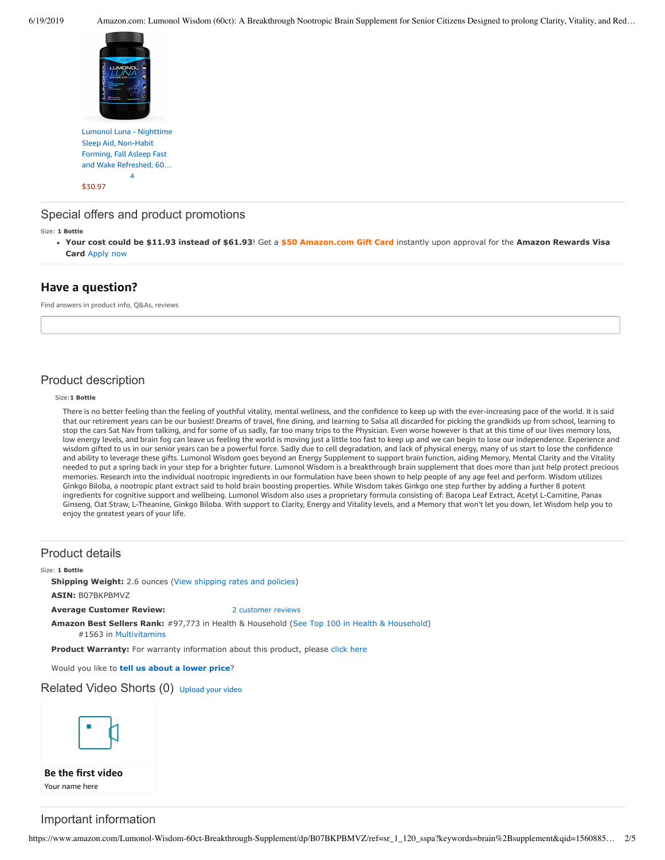

Lumonol Luna - Nighttime Sleep Aid, Non-Habit Forming, Fall Asleep Fast and Wake [Refreshed,](https://www.amazon.com/Lumonol-Luna-60ct-Nootropic-Nootropics/dp/B06W9K1YKS/ref=pd_sbs_121_1/143-6729050-3493109?_encoding=UTF8&pd_rd_i=B06W9K1YKS&pd_rd_r=e1a7f8fd-92ad-11e9-8e0c-eb9be67047bd&pd_rd_w=j74c8&pd_rd_wg=yudo9&pf_rd_p=588939de-d3f8-42f1-a3d8-d556eae5797d&pf_rd_r=5H85V9F5GTKNR5THJDMG&psc=1&refRID=5H85V9F5GTKNR5THJDMG) 60… [4](https://www.amazon.com/product-reviews/B06W9K1YKS/ref=pd_sbs_121_cr_1/143-6729050-3493109?ie=UTF8&pd_rd_i=B06W9K1YKS&pd_rd_r=e1a7f8fd-92ad-11e9-8e0c-eb9be67047bd&pd_rd_w=j74c8&pd_rd_wg=yudo9&pf_rd_p=588939de-d3f8-42f1-a3d8-d556eae5797d&pf_rd_r=5H85V9F5GTKNR5THJDMG&refRID=5H85V9F5GTKNR5THJDMG)

[\\$30.97](https://www.amazon.com/Lumonol-Luna-60ct-Nootropic-Nootropics/dp/B06W9K1YKS/ref=pd_sbs_121_1/143-6729050-3493109?_encoding=UTF8&pd_rd_i=B06W9K1YKS&pd_rd_r=e1a7f8fd-92ad-11e9-8e0c-eb9be67047bd&pd_rd_w=j74c8&pd_rd_wg=yudo9&pf_rd_p=588939de-d3f8-42f1-a3d8-d556eae5797d&pf_rd_r=5H85V9F5GTKNR5THJDMG&psc=1&refRID=5H85V9F5GTKNR5THJDMG)

## Special offers and product promotions

Size: **1 Bottle**

**[Your cost could be \\$11.93 instead of \\$61.93](https://www.amazon.com/gp/cobrandcard/marketing.html?pr=con321&inc=50gcUnrec&ts=5slylpkotjm8wq6r9p8s5x6m6sbain7&dasin=B07BKPBMVZ&plattr=math&place=detailpage&imp=2b0364a8-eb89-4c61-8ceb-f88accd4290a)**! Get a **\$50 Amazon.com Gift Card** instantly upon approval for the **Amazon Rewards Visa Card** Apply now

# **Have a question?**

Find answers in product info, Q&As, reviews

# Product description

#### Size:**1 Bottle**

There is no better feeling than the feeling of youthful vitality, mental wellness, and the confidence to keep up with the ever-increasing pace of the world. It is said that our retirement years can be our busiest! Dreams of travel, fine dining, and learning to Salsa all discarded for picking the grandkids up from school, learning to stop the cars Sat Nav from talking, and for some of us sadly, far too many trips to the Physician. Even worse however is that at this time of our lives memory loss, low energy levels, and brain fog can leave us feeling the world is moving just a little too fast to keep up and we can begin to lose our independence. Experience and wisdom gifted to us in our senior years can be a powerful force. Sadly due to cell degradation, and lack of physical energy, many of us start to lose the confidence and ability to leverage these gifts. Lumonol Wisdom goes beyond an Energy Supplement to support brain function, aiding Memory, Mental Clarity and the Vitality needed to put a spring back in your step for a brighter future. Lumonol Wisdom is a breakthrough brain supplement that does more than just help protect precious memories. Research into the individual nootropic ingredients in our formulation have been shown to help people of any age feel and perform. Wisdom utilizes Ginkgo Biloba, a nootropic plant extract said to hold brain boosting properties. While Wisdom takes Ginkgo one step further by adding a further 8 potent ingredients for cognitive support and wellbeing. Lumonol Wisdom also uses a proprietary formula consisting of: Bacopa Leaf Extract, Acetyl L-Carnitine, Panax Ginseng, Oat Straw, L-Theanine, Ginkgo Biloba. With support to Clarity, Energy and Vitality levels, and a Memory that won't let you down, let Wisdom help you to enjoy the greatest years of your life.

### Product details

#### Size: **1 Bottle**

**Shipping Weight:** 2.6 ounces [\(View shipping rates and policies\)](https://www.amazon.com/gp/help/seller/shipping.html/ref=dp_pd_shipping?ie=UTF8&asin=B07BKPBMVZ&seller=ATVPDKIKX0DER) **ASIN:** B07BKPBMVZ

**Average Customer Review:** [2 customer reviews](https://www.amazon.com/product-reviews/B07BKPBMVZ/ref=acr_dpproductdetail_text?ie=UTF8&showViewpoints=1)

**Amazon Best Sellers Rank:** #97,773 in Health & Household ([See Top 100 in Health & Household\)](https://www.amazon.com/gp/bestsellers/hpc/ref=pd_zg_ts_hpc) #1563 in [Multivitamins](https://www.amazon.com/gp/bestsellers/hpc/3774861/ref=pd_zg_hrsr_hpc)

Product Warranty: For warranty information about this product, please [click here](https://www.amazon.com/gp/feature.html/ref=dp_warranty_request_3P?ie=UTF8&docId=1002406021)

Would you like to **tell us about a lower price**?

### Related Video Shorts (0) [Upload](https://www.amazon.com/creatorhub/video/upload?productASIN=B07BKPBMVZ&referringURL=ZHAvQjA3QktQQk1WWg%3D%3D&ref=RVSW) your video



**Be the first video** Your name here

# Important information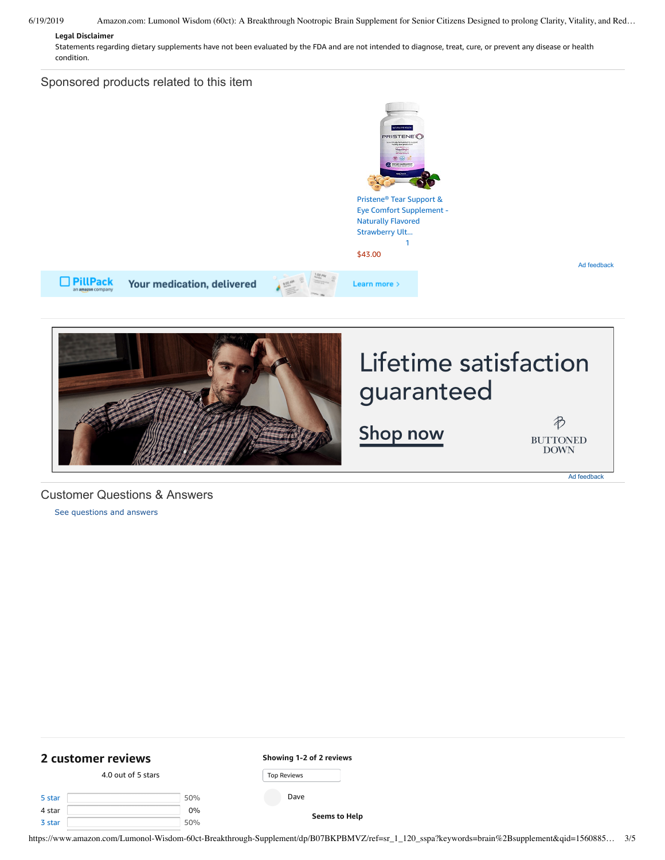## 6/19/2019 Amazon.com: Lumonol Wisdom (60ct): A Breakthrough Nootropic Brain Supplement for Senior Citizens Designed to prolong Clarity, Vitality, and Red…

### **Legal Disclaimer**

Statements regarding dietary supplements have not been evaluated by the FDA and are not intended to diagnose, treat, cure, or prevent any disease or health condition.

# Sponsored products related to this item





# Customer Questions & Answers

[See questions and answers](https://www.amazon.com/ask/questions/asin/B07BKPBMVZ/ref=cm_cd_dp_lla_ql_ll)

<span id="page-2-0"></span>

| 2 customer reviews |                    | Showing 1-2 of 2 reviews |
|--------------------|--------------------|--------------------------|
|                    | 4.0 out of 5 stars | <b>Top Reviews</b>       |
| 5 star             | 50%                | Dave                     |
| 4 star             | $0\%$              | <b>Seems to Help</b>     |
| 3 star             | 50%                |                          |

https://www.amazon.com/Lumonol-Wisdom-60ct-Breakthrough-Supplement/dp/B07BKPBMVZ/ref=sr\_1\_120\_sspa?keywords=brain%2Bsupplement&qid=1560885… 3/5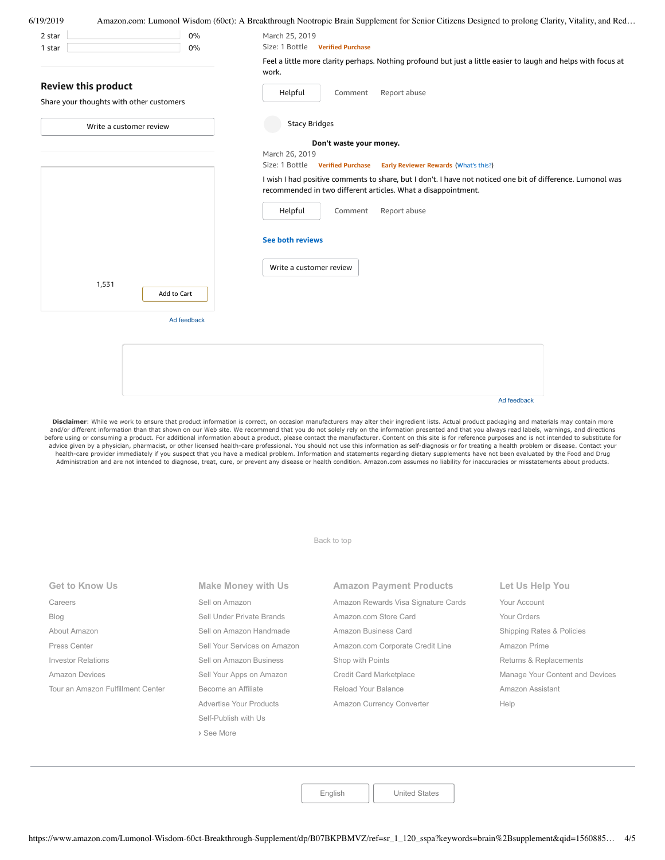| 6/19/2019                                                              |             | Amazon.com: Lumonol Wisdom (60ct): A Breakthrough Nootropic Brain Supplement for Senior Citizens Designed to prolong Clarity, Vitality, and Red                              |  |  |  |  |
|------------------------------------------------------------------------|-------------|------------------------------------------------------------------------------------------------------------------------------------------------------------------------------|--|--|--|--|
| 2 star                                                                 | 0%          | March 25, 2019                                                                                                                                                               |  |  |  |  |
| 1 star                                                                 | 0%          | Size: 1 Bottle Verified Purchase                                                                                                                                             |  |  |  |  |
|                                                                        |             | Feel a little more clarity perhaps. Nothing profound but just a little easier to laugh and helps with focus at<br>work.                                                      |  |  |  |  |
| <b>Review this product</b><br>Share your thoughts with other customers |             | Report abuse<br>Helpful<br>Comment                                                                                                                                           |  |  |  |  |
| Write a customer review                                                |             | <b>Stacy Bridges</b>                                                                                                                                                         |  |  |  |  |
|                                                                        |             | Don't waste your money.                                                                                                                                                      |  |  |  |  |
|                                                                        |             | March 26, 2019                                                                                                                                                               |  |  |  |  |
|                                                                        |             | Size: 1 Bottle Verified Purchase Early Reviewer Rewards (What's this?)                                                                                                       |  |  |  |  |
|                                                                        |             | I wish I had positive comments to share, but I don't. I have not noticed one bit of difference. Lumonol was<br>recommended in two different articles. What a disappointment. |  |  |  |  |
|                                                                        |             | Report abuse<br>Helpful<br>Comment                                                                                                                                           |  |  |  |  |
|                                                                        |             | <b>See both reviews</b>                                                                                                                                                      |  |  |  |  |
|                                                                        |             | Write a customer review                                                                                                                                                      |  |  |  |  |
| 1,531                                                                  | Add to Cart |                                                                                                                                                                              |  |  |  |  |
|                                                                        | Ad feedback |                                                                                                                                                                              |  |  |  |  |
|                                                                        |             |                                                                                                                                                                              |  |  |  |  |
|                                                                        |             |                                                                                                                                                                              |  |  |  |  |
|                                                                        |             |                                                                                                                                                                              |  |  |  |  |
|                                                                        |             |                                                                                                                                                                              |  |  |  |  |
|                                                                        |             |                                                                                                                                                                              |  |  |  |  |

Disclaimer: While we work to ensure that product information is correct, on occasion manufacturers may alter their ingredient lists. Actual product packaging and materials may contain more and/or different information than that shown on our Web site. We recommend that you do not solely rely on the information presented and that you always read labels, warnings, and directions before using or consuming a product. For additional information about a product, please contact the manufacturer. Content on this site is for reference purposes and is not intended to substitute for advice given by a physician, pharmacist, or other licensed health-care professional. You should not use this information as self-diagnosis or for treating a health problem or disease. Contact your<br>health-care provider imme Administration and are not intended to diagnose, treat, cure, or prevent any disease or health condition. Amazon.com assumes no liability for inaccuracies or misstatements about products.

[Back to top](#page-0-0)

| <b>Get to Know Us</b>             | <b>Make Money with Us</b>    | <b>Amazon Payment Products</b>      | Let Us Help You                 |
|-----------------------------------|------------------------------|-------------------------------------|---------------------------------|
| Careers                           | Sell on Amazon               | Amazon Rewards Visa Signature Cards | Your Account                    |
| <b>Blog</b>                       | Sell Under Private Brands    | Amazon.com Store Card               | Your Orders                     |
| About Amazon                      | Sell on Amazon Handmade      | Amazon Business Card                | Shipping Rates & Policies       |
| Press Center                      | Sell Your Services on Amazon | Amazon.com Corporate Credit Line    | Amazon Prime                    |
| <b>Investor Relations</b>         | Sell on Amazon Business      | Shop with Points                    | Returns & Replacements          |
| Amazon Devices                    | Sell Your Apps on Amazon     | Credit Card Marketplace             | Manage Your Content and Devices |
| Tour an Amazon Fulfillment Center | Become an Affiliate          | Reload Your Balance                 | Amazon Assistant                |
|                                   | Advertise Your Products      | Amazon Currency Converter           | Help                            |
|                                   | Self-Publish with Us         |                                     |                                 |
|                                   | > See More                   |                                     |                                 |

[English](https://www.amazon.com/gp/customer-preferences/select-language/ref=footer_lang?ie=UTF8&preferencesReturnUrl=%2FLumonol-Wisdom-60ct-Breakthrough-Supplement%2Fdp%2FB07BKPBMVZ%2Fref%3Dsr_1_120_sspa%3Fkeywords%3Dbrain%2Bsupplement%26qid%3D1560885205%26s%3Dgateway%26sr%3D8-120-spons%26psc%3D1) | [United States](https://www.amazon.com/gp/navigation-country/select-country/ref=?ie=UTF8&preferencesReturnUrl=%2FLumonol-Wisdom-60ct-Breakthrough-Supplement%2Fdp%2FB07BKPBMVZ%2Fref%3Dsr_1_120_sspa%3Fkeywords%3Dbrain%2Bsupplement%26qid%3D1560885205%26s%3Dgateway%26sr%3D8-120-spons%26psc%3D1)

Ad feedback